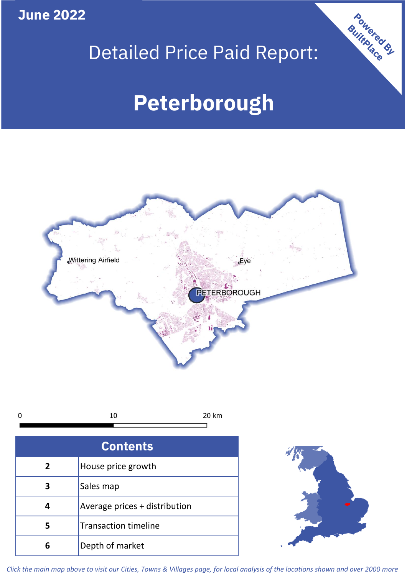**June 2022**

# Detailed Price Paid Report:

# **Peterborough**



| C |  |
|---|--|
|   |  |

| <b>Contents</b> |                               |  |  |
|-----------------|-------------------------------|--|--|
| $\overline{2}$  | House price growth            |  |  |
|                 | Sales map                     |  |  |
|                 | Average prices + distribution |  |  |
| 5               | <b>Transaction timeline</b>   |  |  |
|                 | Depth of market               |  |  |



Powered By

*Click the main map above to visit our Cities, Towns & Villages page, for local analysis of the locations shown and over 2000 more*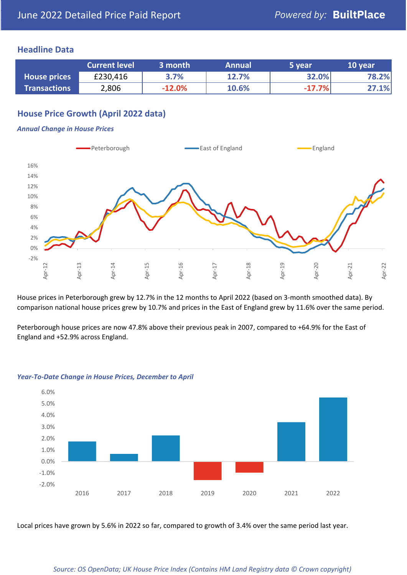### **Headline Data**

|                     | <b>Current level</b> | 3 month  | <b>Annual</b> | 5 year   | 10 year |
|---------------------|----------------------|----------|---------------|----------|---------|
| <b>House prices</b> | £230,416             | 3.7%     | 12.7%         | 32.0%    | 78.2%   |
| <b>Transactions</b> | 2,806                | $-12.0%$ | 10.6%         | $-17.7%$ | 27.1%   |

# **House Price Growth (April 2022 data)**

#### *Annual Change in House Prices*



House prices in Peterborough grew by 12.7% in the 12 months to April 2022 (based on 3-month smoothed data). By comparison national house prices grew by 10.7% and prices in the East of England grew by 11.6% over the same period.

Peterborough house prices are now 47.8% above their previous peak in 2007, compared to +64.9% for the East of England and +52.9% across England.



#### *Year-To-Date Change in House Prices, December to April*

Local prices have grown by 5.6% in 2022 so far, compared to growth of 3.4% over the same period last year.

#### *Source: OS OpenData; UK House Price Index (Contains HM Land Registry data © Crown copyright)*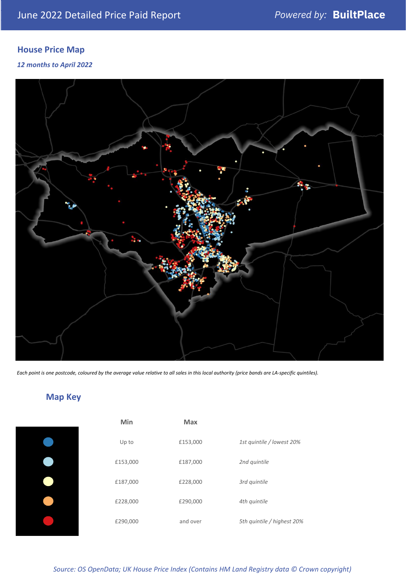# **House Price Map**

*12 months to April 2022*



*Each point is one postcode, coloured by the average value relative to all sales in this local authority (price bands are LA-specific quintiles).*

**Map Key**

| Min      | <b>Max</b> |                            |
|----------|------------|----------------------------|
| Up to    | £153,000   | 1st quintile / lowest 20%  |
| £153,000 | £187,000   | 2nd quintile               |
| £187,000 | £228,000   | 3rd quintile               |
| £228,000 | £290,000   | 4th quintile               |
| £290,000 | and over   | 5th quintile / highest 20% |

*Source: OS OpenData; UK House Price Index (Contains HM Land Registry data © Crown copyright)*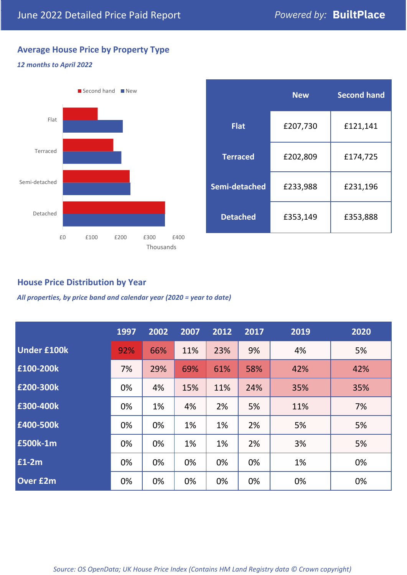# **Average House Price by Property Type**

#### *12 months to April 2022*



|                 | <b>New</b> | <b>Second hand</b> |  |
|-----------------|------------|--------------------|--|
| <b>Flat</b>     | £207,730   | £121,141           |  |
| <b>Terraced</b> | £202,809   | £174,725           |  |
| Semi-detached   | £233,988   | £231,196           |  |
| <b>Detached</b> | £353,149   | £353,888           |  |

## **House Price Distribution by Year**

*All properties, by price band and calendar year (2020 = year to date)*

|                    | 1997 | 2002 | 2007 | 2012 | 2017 | 2019 | 2020 |
|--------------------|------|------|------|------|------|------|------|
| <b>Under £100k</b> | 92%  | 66%  | 11%  | 23%  | 9%   | 4%   | 5%   |
| £100-200k          | 7%   | 29%  | 69%  | 61%  | 58%  | 42%  | 42%  |
| E200-300k          | 0%   | 4%   | 15%  | 11%  | 24%  | 35%  | 35%  |
| £300-400k          | 0%   | 1%   | 4%   | 2%   | 5%   | 11%  | 7%   |
| £400-500k          | 0%   | 0%   | 1%   | 1%   | 2%   | 5%   | 5%   |
| £500k-1m           | 0%   | 0%   | 1%   | 1%   | 2%   | 3%   | 5%   |
| £1-2m              | 0%   | 0%   | 0%   | 0%   | 0%   | 1%   | 0%   |
| <b>Over £2m</b>    | 0%   | 0%   | 0%   | 0%   | 0%   | 0%   | 0%   |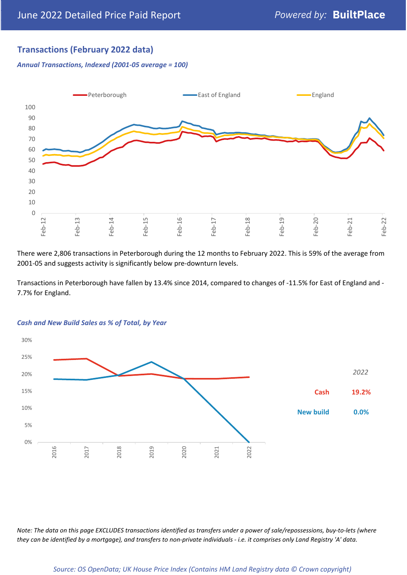# **Transactions (February 2022 data)**

*Annual Transactions, Indexed (2001-05 average = 100)*



There were 2,806 transactions in Peterborough during the 12 months to February 2022. This is 59% of the average from 2001-05 and suggests activity is significantly below pre-downturn levels.

Transactions in Peterborough have fallen by 13.4% since 2014, compared to changes of -11.5% for East of England and - 7.7% for England.



#### *Cash and New Build Sales as % of Total, by Year*

*Note: The data on this page EXCLUDES transactions identified as transfers under a power of sale/repossessions, buy-to-lets (where they can be identified by a mortgage), and transfers to non-private individuals - i.e. it comprises only Land Registry 'A' data.*